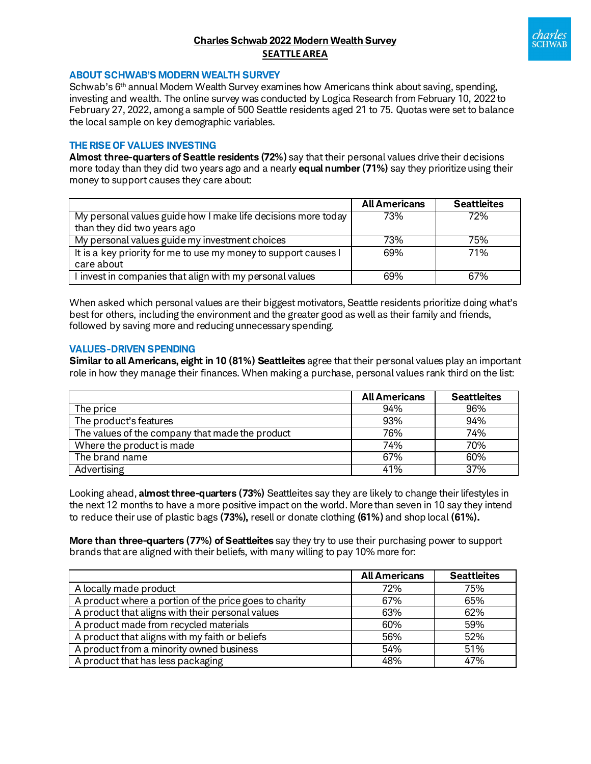# **Charles Schwab 2022 Modern Wealth Survey SEATTLE AREA**



#### **ABOUT SCHWAB'S MODERN WEALTH SURVEY**

Schwab's 6<sup>th</sup> annual Modern Wealth Survey examines how Americans think about saving, spending, investing and wealth. The online survey was conducted by Logica Research from February 10, 2022 to February 27, 2022, among a sample of 500 Seattle residents aged 21 to 75. Quotas were set to balance the local sample on key demographic variables.

## **THE RISE OF VALUES INVESTING**

**Almost three-quarters of Seattle residents (72%)** say that their personal values drive their decisions more today than they did two years ago and a nearly **equal number (71%)** say they prioritize using their money to support causes they care about:

|                                                                 | <b>All Americans</b> | <b>Seattleites</b> |
|-----------------------------------------------------------------|----------------------|--------------------|
| My personal values guide how I make life decisions more today   | 73%                  | 72%                |
| than they did two years ago                                     |                      |                    |
| My personal values guide my investment choices                  | 73%                  | 75%                |
| It is a key priority for me to use my money to support causes I | 69%                  | 71%                |
| care about                                                      |                      |                    |
| I invest in companies that align with my personal values        | 69%                  | 67%                |

When asked which personal values are their biggest motivators, Seattle residents prioritize doing what's best for others, including the environment and the greater good as well as their family and friends, followed by saving more and reducing unnecessary spending.

#### **VALUES-DRIVEN SPENDING**

**Similar to all Americans, eight in 10 (81%) Seattleites** agree that their personal values play an important role in how they manage their finances. When making a purchase, personal values rank third on the list:

|                                                 | <b>All Americans</b> | <b>Seattleites</b> |
|-------------------------------------------------|----------------------|--------------------|
| The price                                       | 94%                  | 96%                |
| The product's features                          | 93%                  | 94%                |
| The values of the company that made the product | 76%                  | 74%                |
| Where the product is made                       | 74%                  | 70%                |
| The brand name                                  | 67%                  | 60%                |
| Advertising                                     | 41%                  | 37%                |

Looking ahead, **almost three-quarters (73%)** Seattleites say they are likely to change their lifestyles in the next 12 months to have a more positive impact on the world. More than seven in 10 say they intend to reduce their use of plastic bags **(73%),** resell or donate clothing **(61%)** and shop local **(61%).**

**More than three-quarters (77%) of Seattleites** say they try to use their purchasing power to support brands that are aligned with their beliefs, with many willing to pay 10% more for:

|                                                        | <b>All Americans</b> | <b>Seattleites</b> |
|--------------------------------------------------------|----------------------|--------------------|
| A locally made product                                 | 72%                  | 75%                |
| A product where a portion of the price goes to charity | 67%                  | 65%                |
| A product that aligns with their personal values       | 63%                  | 62%                |
| A product made from recycled materials                 | 60%                  | 59%                |
| A product that aligns with my faith or beliefs         | 56%                  | 52%                |
| A product from a minority owned business               | 54%                  | 51%                |
| A product that has less packaging                      | 48%                  | 47%                |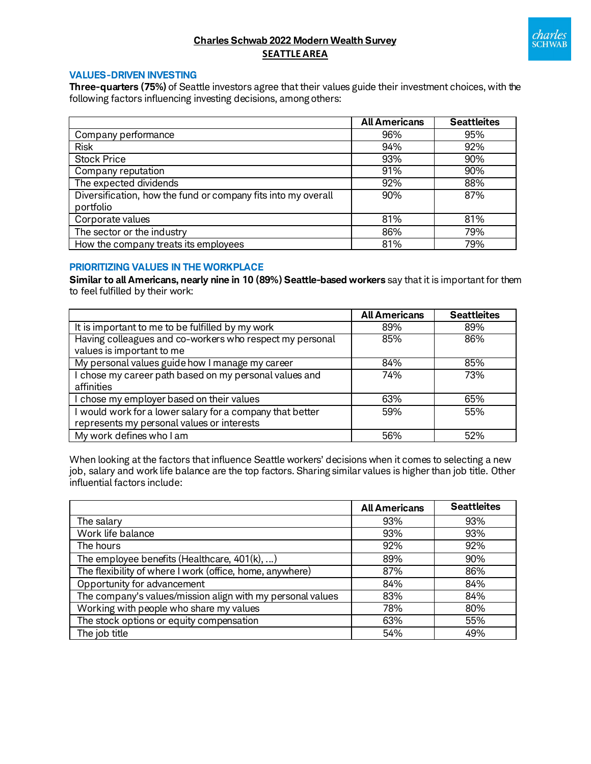

# **Charles Schwab 2022 Modern Wealth Survey SEATTLE AREA**

## **VALUES-DRIVEN INVESTING**

**Three-quarters (75%)** of Seattle investors agree that their values guide their investment choices, with the following factors influencing investing decisions, among others:

|                                                                            | <b>All Americans</b> | <b>Seattleites</b> |
|----------------------------------------------------------------------------|----------------------|--------------------|
| Company performance                                                        | 96%                  | 95%                |
| <b>Risk</b>                                                                | 94%                  | 92%                |
| <b>Stock Price</b>                                                         | 93%                  | 90%                |
| Company reputation                                                         | 91%                  | 90%                |
| The expected dividends                                                     | 92%                  | 88%                |
| Diversification, how the fund or company fits into my overall<br>portfolio | 90%                  | 87%                |
| Corporate values                                                           | 81%                  | 81%                |
| The sector or the industry                                                 | 86%                  | 79%                |
| How the company treats its employees                                       | 81%                  | 79%                |

## **PRIORITIZING VALUES IN THE WORKPLACE**

**Similar to all Americans, nearly nine in 10 (89%) Seattle-based workers** say that it is important for them to feel fulfilled by their work:

|                                                           | <b>All Americans</b> | <b>Seattleites</b> |
|-----------------------------------------------------------|----------------------|--------------------|
| It is important to me to be fulfilled by my work          | 89%                  | 89%                |
| Having colleagues and co-workers who respect my personal  | 85%                  | 86%                |
| values is important to me                                 |                      |                    |
| My personal values guide how I manage my career           | 84%                  | 85%                |
| I chose my career path based on my personal values and    | 74%                  | 73%                |
| affinities                                                |                      |                    |
| I chose my employer based on their values                 | 63%                  | 65%                |
| I would work for a lower salary for a company that better | 59%                  | 55%                |
| represents my personal values or interests                |                      |                    |
| My work defines who I am                                  | 56%                  | 52%                |

When looking at the factors that influence Seattle workers' decisions when it comes to selecting a new job, salary and work life balance are the top factors. Sharing similar values is higher than job title. Other influential factors include:

|                                                            | <b>All Americans</b> | <b>Seattleites</b> |
|------------------------------------------------------------|----------------------|--------------------|
| The salary                                                 | 93%                  | 93%                |
| Work life balance                                          | 93%                  | 93%                |
| The hours                                                  | 92%                  | 92%                |
| The employee benefits (Healthcare, $401(k), $ )            | 89%                  | 90%                |
| The flexibility of where I work (office, home, anywhere)   | 87%                  | 86%                |
| Opportunity for advancement                                | 84%                  | 84%                |
| The company's values/mission align with my personal values | 83%                  | 84%                |
| Working with people who share my values                    | 78%                  | 80%                |
| The stock options or equity compensation                   | 63%                  | 55%                |
| The job title                                              | 54%                  | 49%                |